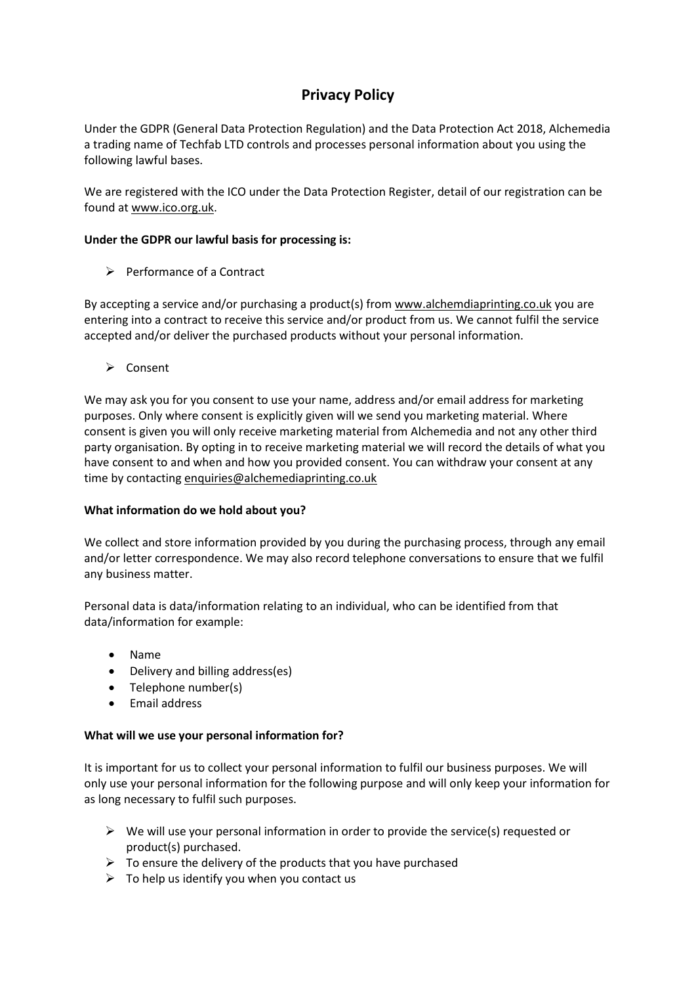# **Privacy Policy**

Under the GDPR (General Data Protection Regulation) and the Data Protection Act 2018, Alchemedia a trading name of Techfab LTD controls and processes personal information about you using the following lawful bases.

We are registered with the ICO under the Data Protection Register, detail of our registration can be found a[t www.ico.org.uk.](http://www.ico.org.uk/)

## **Under the GDPR our lawful basis for processing is:**

 $\triangleright$  Performance of a Contract

By accepting a service and/or purchasing a product(s) from [www.alchemdiaprinting.co.uk](http://www.alchemdiaprinting.co.uk/) you are entering into a contract to receive this service and/or product from us. We cannot fulfil the service accepted and/or deliver the purchased products without your personal information.

 $\triangleright$  Consent

We may ask you for you consent to use your name, address and/or email address for marketing purposes. Only where consent is explicitly given will we send you marketing material. Where consent is given you will only receive marketing material from Alchemedia and not any other third party organisation. By opting in to receive marketing material we will record the details of what you have consent to and when and how you provided consent. You can withdraw your consent at any time by contactin[g enquiries@alchemediaprinting.co.uk](mailto:enquiries@alchemediaprinting.co.uk)

#### **What information do we hold about you?**

We collect and store information provided by you during the purchasing process, through any email and/or letter correspondence. We may also record telephone conversations to ensure that we fulfil any business matter.

Personal data is data/information relating to an individual, who can be identified from that data/information for example:

- Name
- Delivery and billing address(es)
- Telephone number(s)
- Email address

#### **What will we use your personal information for?**

It is important for us to collect your personal information to fulfil our business purposes. We will only use your personal information for the following purpose and will only keep your information for as long necessary to fulfil such purposes.

- $\triangleright$  We will use your personal information in order to provide the service(s) requested or product(s) purchased.
- $\triangleright$  To ensure the delivery of the products that you have purchased
- $\triangleright$  To help us identify you when you contact us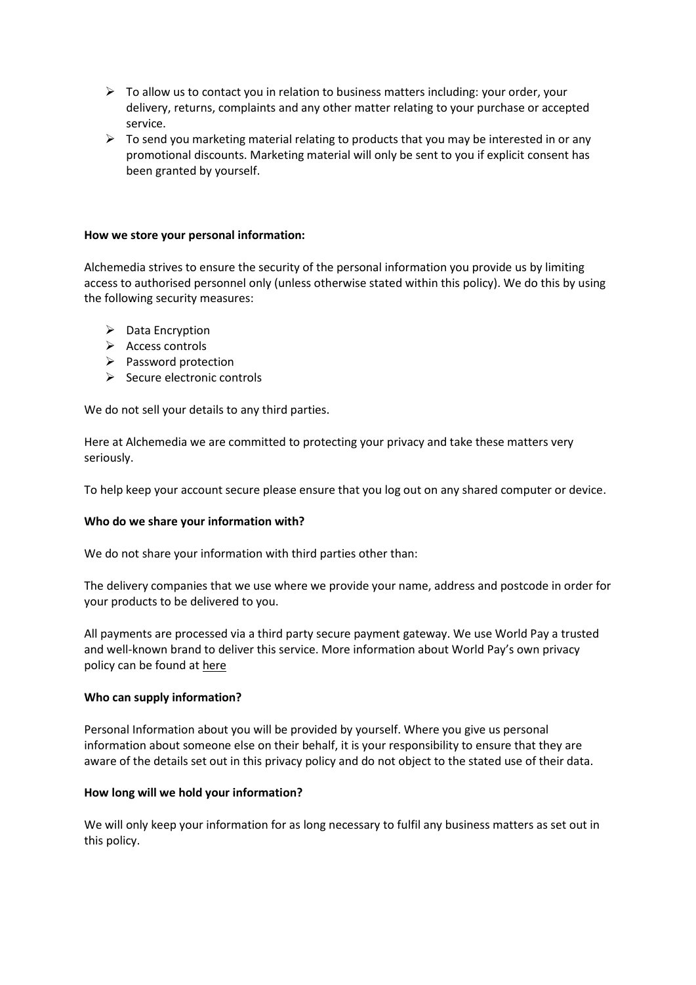- $\triangleright$  To allow us to contact you in relation to business matters including: your order, your delivery, returns, complaints and any other matter relating to your purchase or accepted service.
- $\triangleright$  To send you marketing material relating to products that you may be interested in or any promotional discounts. Marketing material will only be sent to you if explicit consent has been granted by yourself.

#### **How we store your personal information:**

Alchemedia strives to ensure the security of the personal information you provide us by limiting access to authorised personnel only (unless otherwise stated within this policy). We do this by using the following security measures:

- $\triangleright$  Data Encryption
- $\triangleright$  Access controls
- $\triangleright$  Password protection
- $\triangleright$  Secure electronic controls

We do not sell your details to any third parties.

Here at Alchemedia we are committed to protecting your privacy and take these matters very seriously.

To help keep your account secure please ensure that you log out on any shared computer or device.

#### **Who do we share your information with?**

We do not share your information with third parties other than:

The delivery companies that we use where we provide your name, address and postcode in order for your products to be delivered to you.

All payments are processed via a third party secure payment gateway. We use World Pay a trusted and well-known brand to deliver this service. More information about World Pay's own privacy policy can be found at [here](https://www.worldpay.com/en-gb/privacy-policy)

#### **Who can supply information?**

Personal Information about you will be provided by yourself. Where you give us personal information about someone else on their behalf, it is your responsibility to ensure that they are aware of the details set out in this privacy policy and do not object to the stated use of their data.

#### **How long will we hold your information?**

We will only keep your information for as long necessary to fulfil any business matters as set out in this policy.